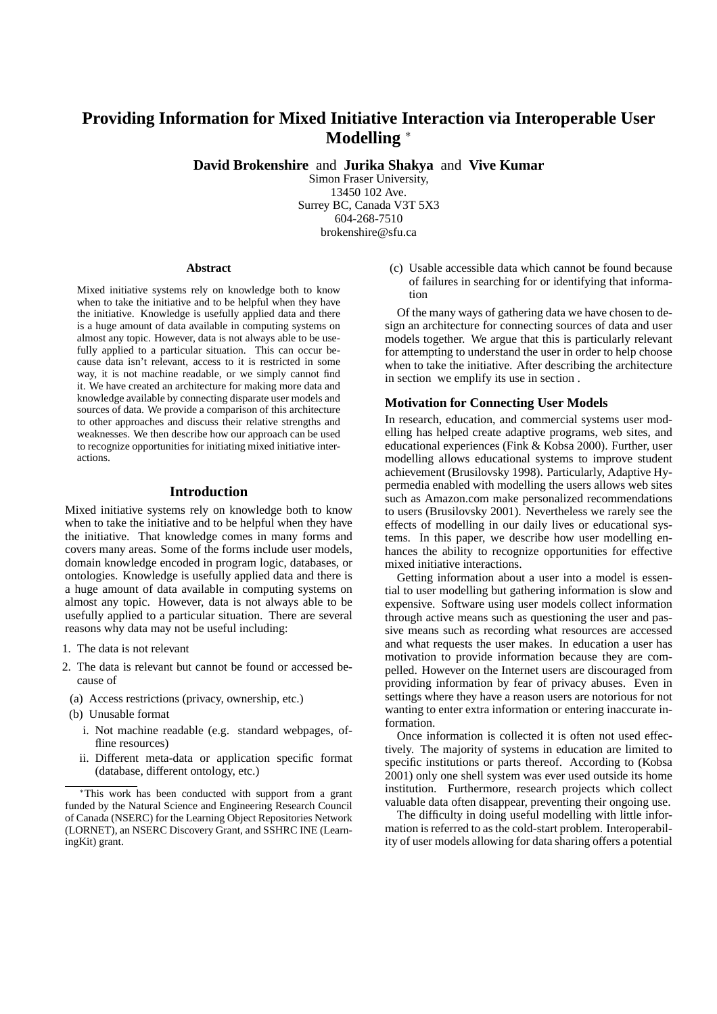# **Providing Information for Mixed Initiative Interaction via Interoperable User Modelling** <sup>∗</sup>

**David Brokenshire** and **Jurika Shakya** and **Vive Kumar**

Simon Fraser University, 13450 102 Ave. Surrey BC, Canada V3T 5X3 604-268-7510 brokenshire@sfu.ca

#### **Abstract**

Mixed initiative systems rely on knowledge both to know when to take the initiative and to be helpful when they have the initiative. Knowledge is usefully applied data and there is a huge amount of data available in computing systems on almost any topic. However, data is not always able to be usefully applied to a particular situation. This can occur because data isn't relevant, access to it is restricted in some way, it is not machine readable, or we simply cannot find it. We have created an architecture for making more data and knowledge available by connecting disparate user models and sources of data. We provide a comparison of this architecture to other approaches and discuss their relative strengths and weaknesses. We then describe how our approach can be used to recognize opportunities for initiating mixed initiative interactions.

#### **Introduction**

Mixed initiative systems rely on knowledge both to know when to take the initiative and to be helpful when they have the initiative. That knowledge comes in many forms and covers many areas. Some of the forms include user models, domain knowledge encoded in program logic, databases, or ontologies. Knowledge is usefully applied data and there is a huge amount of data available in computing systems on almost any topic. However, data is not always able to be usefully applied to a particular situation. There are several reasons why data may not be useful including:

- 1. The data is not relevant
- 2. The data is relevant but cannot be found or accessed because of
- (a) Access restrictions (privacy, ownership, etc.)
- (b) Unusable format
	- i. Not machine readable (e.g. standard webpages, offline resources)
	- ii. Different meta-data or application specific format (database, different ontology, etc.)

(c) Usable accessible data which cannot be found because of failures in searching for or identifying that information

Of the many ways of gathering data we have chosen to design an architecture for connecting sources of data and user models together. We argue that this is particularly relevant for attempting to understand the user in order to help choose when to take the initiative. After describing the architecture in section we emplify its use in section .

### **Motivation for Connecting User Models**

In research, education, and commercial systems user modelling has helped create adaptive programs, web sites, and educational experiences (Fink & Kobsa 2000). Further, user modelling allows educational systems to improve student achievement (Brusilovsky 1998). Particularly, Adaptive Hypermedia enabled with modelling the users allows web sites such as Amazon.com make personalized recommendations to users (Brusilovsky 2001). Nevertheless we rarely see the effects of modelling in our daily lives or educational systems. In this paper, we describe how user modelling enhances the ability to recognize opportunities for effective mixed initiative interactions.

Getting information about a user into a model is essential to user modelling but gathering information is slow and expensive. Software using user models collect information through active means such as questioning the user and passive means such as recording what resources are accessed and what requests the user makes. In education a user has motivation to provide information because they are compelled. However on the Internet users are discouraged from providing information by fear of privacy abuses. Even in settings where they have a reason users are notorious for not wanting to enter extra information or entering inaccurate information.

Once information is collected it is often not used effectively. The majority of systems in education are limited to specific institutions or parts thereof. According to (Kobsa 2001) only one shell system was ever used outside its home institution. Furthermore, research projects which collect valuable data often disappear, preventing their ongoing use.

The difficulty in doing useful modelling with little information is referred to as the cold-start problem. Interoperability of user models allowing for data sharing offers a potential

<sup>∗</sup>This work has been conducted with support from a grant funded by the Natural Science and Engineering Research Council of Canada (NSERC) for the Learning Object Repositories Network (LORNET), an NSERC Discovery Grant, and SSHRC INE (LearningKit) grant.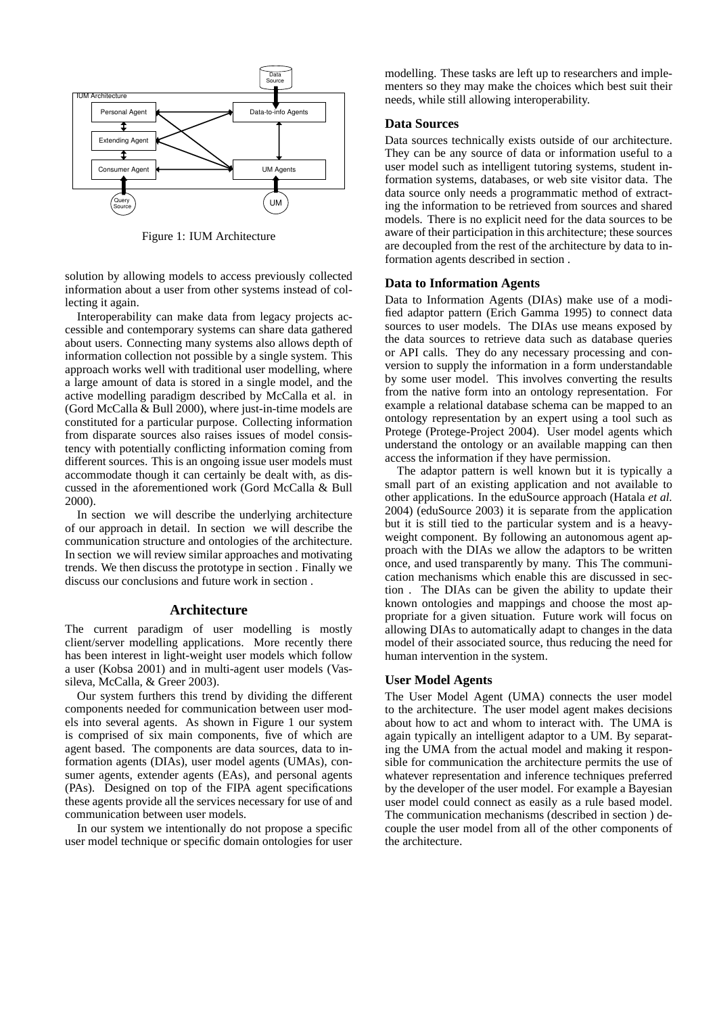

Figure 1: IUM Architecture

solution by allowing models to access previously collected information about a user from other systems instead of collecting it again.

Interoperability can make data from legacy projects accessible and contemporary systems can share data gathered about users. Connecting many systems also allows depth of information collection not possible by a single system. This approach works well with traditional user modelling, where a large amount of data is stored in a single model, and the active modelling paradigm described by McCalla et al. in (Gord McCalla & Bull 2000), where just-in-time models are constituted for a particular purpose. Collecting information from disparate sources also raises issues of model consistency with potentially conflicting information coming from different sources. This is an ongoing issue user models must accommodate though it can certainly be dealt with, as discussed in the aforementioned work (Gord McCalla & Bull 2000).

In section we will describe the underlying architecture of our approach in detail. In section we will describe the communication structure and ontologies of the architecture. In section we will review similar approaches and motivating trends. We then discuss the prototype in section . Finally we discuss our conclusions and future work in section .

# **Architecture**

The current paradigm of user modelling is mostly client/server modelling applications. More recently there has been interest in light-weight user models which follow a user (Kobsa 2001) and in multi-agent user models (Vassileva, McCalla, & Greer 2003).

Our system furthers this trend by dividing the different components needed for communication between user models into several agents. As shown in Figure 1 our system is comprised of six main components, five of which are agent based. The components are data sources, data to information agents (DIAs), user model agents (UMAs), consumer agents, extender agents (EAs), and personal agents (PAs). Designed on top of the FIPA agent specifications these agents provide all the services necessary for use of and communication between user models.

In our system we intentionally do not propose a specific user model technique or specific domain ontologies for user modelling. These tasks are left up to researchers and implementers so they may make the choices which best suit their needs, while still allowing interoperability.

#### **Data Sources**

Data sources technically exists outside of our architecture. They can be any source of data or information useful to a user model such as intelligent tutoring systems, student information systems, databases, or web site visitor data. The data source only needs a programmatic method of extracting the information to be retrieved from sources and shared models. There is no explicit need for the data sources to be aware of their participation in this architecture; these sources are decoupled from the rest of the architecture by data to information agents described in section .

### **Data to Information Agents**

Data to Information Agents (DIAs) make use of a modified adaptor pattern (Erich Gamma 1995) to connect data sources to user models. The DIAs use means exposed by the data sources to retrieve data such as database queries or API calls. They do any necessary processing and conversion to supply the information in a form understandable by some user model. This involves converting the results from the native form into an ontology representation. For example a relational database schema can be mapped to an ontology representation by an expert using a tool such as Protege (Protege-Project 2004). User model agents which understand the ontology or an available mapping can then access the information if they have permission.

The adaptor pattern is well known but it is typically a small part of an existing application and not available to other applications. In the eduSource approach (Hatala *et al.* 2004) (eduSource 2003) it is separate from the application but it is still tied to the particular system and is a heavyweight component. By following an autonomous agent approach with the DIAs we allow the adaptors to be written once, and used transparently by many. This The communication mechanisms which enable this are discussed in section . The DIAs can be given the ability to update their known ontologies and mappings and choose the most appropriate for a given situation. Future work will focus on allowing DIAs to automatically adapt to changes in the data model of their associated source, thus reducing the need for human intervention in the system.

### **User Model Agents**

The User Model Agent (UMA) connects the user model to the architecture. The user model agent makes decisions about how to act and whom to interact with. The UMA is again typically an intelligent adaptor to a UM. By separating the UMA from the actual model and making it responsible for communication the architecture permits the use of whatever representation and inference techniques preferred by the developer of the user model. For example a Bayesian user model could connect as easily as a rule based model. The communication mechanisms (described in section ) decouple the user model from all of the other components of the architecture.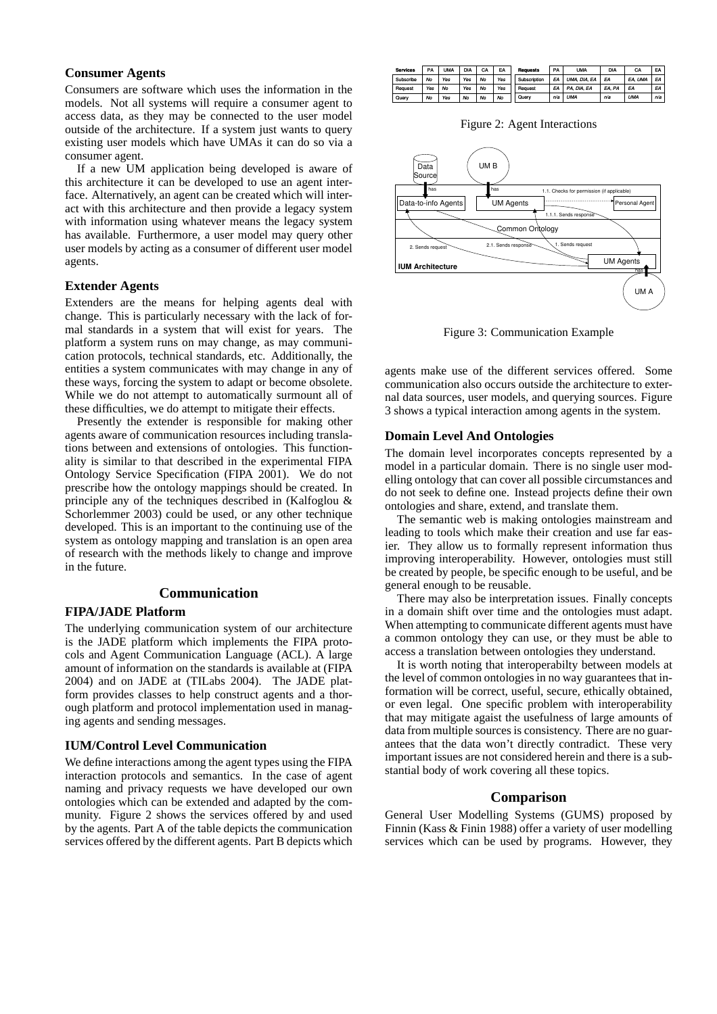# **Consumer Agents**

Consumers are software which uses the information in the models. Not all systems will require a consumer agent to access data, as they may be connected to the user model outside of the architecture. If a system just wants to query existing user models which have UMAs it can do so via a consumer agent.

If a new UM application being developed is aware of this architecture it can be developed to use an agent interface. Alternatively, an agent can be created which will interact with this architecture and then provide a legacy system with information using whatever means the legacy system has available. Furthermore, a user model may query other user models by acting as a consumer of different user model agents.

#### **Extender Agents**

Extenders are the means for helping agents deal with change. This is particularly necessary with the lack of formal standards in a system that will exist for years. The platform a system runs on may change, as may communication protocols, technical standards, etc. Additionally, the entities a system communicates with may change in any of these ways, forcing the system to adapt or become obsolete. While we do not attempt to automatically surmount all of these difficulties, we do attempt to mitigate their effects.

Presently the extender is responsible for making other agents aware of communication resources including translations between and extensions of ontologies. This functionality is similar to that described in the experimental FIPA Ontology Service Specification (FIPA 2001). We do not prescribe how the ontology mappings should be created. In principle any of the techniques described in (Kalfoglou & Schorlemmer 2003) could be used, or any other technique developed. This is an important to the continuing use of the system as ontology mapping and translation is an open area of research with the methods likely to change and improve in the future.

# **Communication**

# **FIPA/JADE Platform**

The underlying communication system of our architecture is the JADE platform which implements the FIPA protocols and Agent Communication Language (ACL). A large amount of information on the standards is available at (FIPA 2004) and on JADE at (TILabs 2004). The JADE platform provides classes to help construct agents and a thorough platform and protocol implementation used in managing agents and sending messages.

#### **IUM/Control Level Communication**

We define interactions among the agent types using the FIPA interaction protocols and semantics. In the case of agent naming and privacy requests we have developed our own ontologies which can be extended and adapted by the community. Figure 2 shows the services offered by and used by the agents. Part A of the table depicts the communication services offered by the different agents. Part B depicts which

| <b>Services</b> | PA        | <b>UMA</b> | DIA | CA | EA         | Requests     | PA  | UMA          | DIA    | CA         | EA  |
|-----------------|-----------|------------|-----|----|------------|--------------|-----|--------------|--------|------------|-----|
| Subscribe       | <b>No</b> | Yes        | Yes | No | <b>Yes</b> | Subscription | EA  | UMA, DIA, EA | FA     | EA. UMA    | EA  |
| Request         | Yes       | No         | Yes | No | Yes        | Request      | EA  | PA. DIA, EA  | EA, PA | EA         | EA  |
| Query           | No        | Yes        | No  | No | No         | Query        | n/a | <b>UMA</b>   | n/a    | <b>UMA</b> | n/a |

Figure 2: Agent Interactions



Figure 3: Communication Example

agents make use of the different services offered. Some communication also occurs outside the architecture to external data sources, user models, and querying sources. Figure 3 shows a typical interaction among agents in the system.

#### **Domain Level And Ontologies**

The domain level incorporates concepts represented by a model in a particular domain. There is no single user modelling ontology that can cover all possible circumstances and do not seek to define one. Instead projects define their own ontologies and share, extend, and translate them.

The semantic web is making ontologies mainstream and leading to tools which make their creation and use far easier. They allow us to formally represent information thus improving interoperability. However, ontologies must still be created by people, be specific enough to be useful, and be general enough to be reusable.

There may also be interpretation issues. Finally concepts in a domain shift over time and the ontologies must adapt. When attempting to communicate different agents must have a common ontology they can use, or they must be able to access a translation between ontologies they understand.

It is worth noting that interoperabilty between models at the level of common ontologies in no way guarantees that information will be correct, useful, secure, ethically obtained, or even legal. One specific problem with interoperability that may mitigate agaist the usefulness of large amounts of data from multiple sources is consistency. There are no guarantees that the data won't directly contradict. These very important issues are not considered herein and there is a substantial body of work covering all these topics.

### **Comparison**

General User Modelling Systems (GUMS) proposed by Finnin (Kass & Finin 1988) offer a variety of user modelling services which can be used by programs. However, they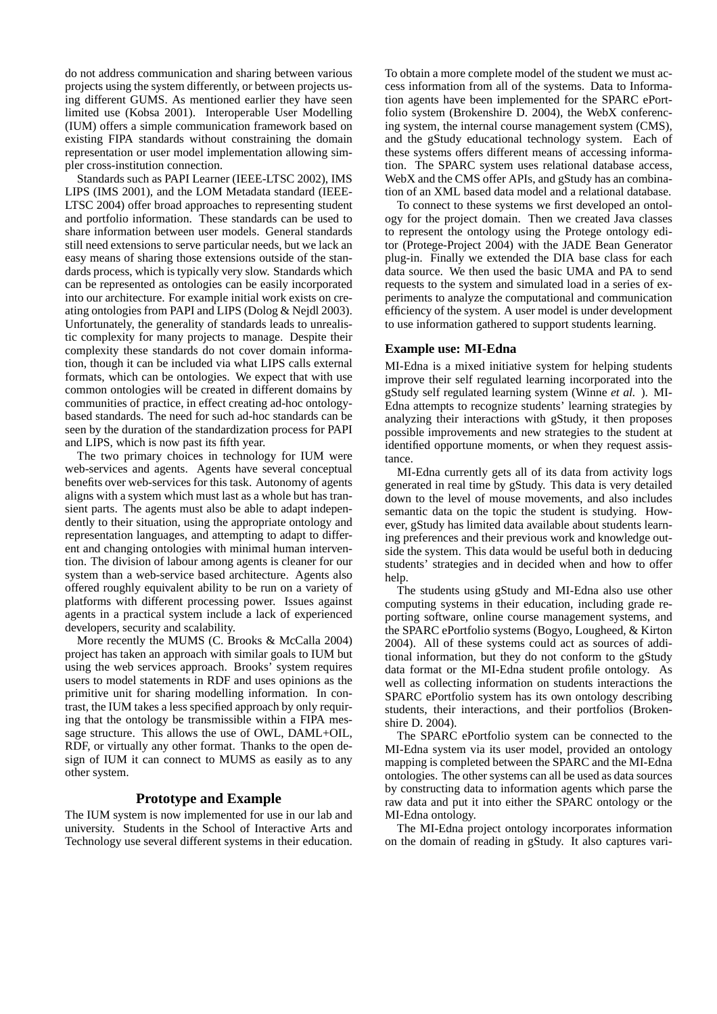do not address communication and sharing between various projects using the system differently, or between projects using different GUMS. As mentioned earlier they have seen limited use (Kobsa 2001). Interoperable User Modelling (IUM) offers a simple communication framework based on existing FIPA standards without constraining the domain representation or user model implementation allowing simpler cross-institution connection.

Standards such as PAPI Learner (IEEE-LTSC 2002), IMS LIPS (IMS 2001), and the LOM Metadata standard (IEEE-LTSC 2004) offer broad approaches to representing student and portfolio information. These standards can be used to share information between user models. General standards still need extensions to serve particular needs, but we lack an easy means of sharing those extensions outside of the standards process, which is typically very slow. Standards which can be represented as ontologies can be easily incorporated into our architecture. For example initial work exists on creating ontologies from PAPI and LIPS (Dolog & Nejdl 2003). Unfortunately, the generality of standards leads to unrealistic complexity for many projects to manage. Despite their complexity these standards do not cover domain information, though it can be included via what LIPS calls external formats, which can be ontologies. We expect that with use common ontologies will be created in different domains by communities of practice, in effect creating ad-hoc ontologybased standards. The need for such ad-hoc standards can be seen by the duration of the standardization process for PAPI and LIPS, which is now past its fifth year.

The two primary choices in technology for IUM were web-services and agents. Agents have several conceptual benefits over web-services for this task. Autonomy of agents aligns with a system which must last as a whole but has transient parts. The agents must also be able to adapt independently to their situation, using the appropriate ontology and representation languages, and attempting to adapt to different and changing ontologies with minimal human intervention. The division of labour among agents is cleaner for our system than a web-service based architecture. Agents also offered roughly equivalent ability to be run on a variety of platforms with different processing power. Issues against agents in a practical system include a lack of experienced developers, security and scalability.

More recently the MUMS (C. Brooks & McCalla 2004) project has taken an approach with similar goals to IUM but using the web services approach. Brooks' system requires users to model statements in RDF and uses opinions as the primitive unit for sharing modelling information. In contrast, the IUM takes a less specified approach by only requiring that the ontology be transmissible within a FIPA message structure. This allows the use of OWL, DAML+OIL, RDF, or virtually any other format. Thanks to the open design of IUM it can connect to MUMS as easily as to any other system.

### **Prototype and Example**

The IUM system is now implemented for use in our lab and university. Students in the School of Interactive Arts and Technology use several different systems in their education. To obtain a more complete model of the student we must access information from all of the systems. Data to Information agents have been implemented for the SPARC ePortfolio system (Brokenshire D. 2004), the WebX conferencing system, the internal course management system (CMS), and the gStudy educational technology system. Each of these systems offers different means of accessing information. The SPARC system uses relational database access, WebX and the CMS offer APIs, and gStudy has an combination of an XML based data model and a relational database.

To connect to these systems we first developed an ontology for the project domain. Then we created Java classes to represent the ontology using the Protege ontology editor (Protege-Project 2004) with the JADE Bean Generator plug-in. Finally we extended the DIA base class for each data source. We then used the basic UMA and PA to send requests to the system and simulated load in a series of experiments to analyze the computational and communication efficiency of the system. A user model is under development to use information gathered to support students learning.

# **Example use: MI-Edna**

MI-Edna is a mixed initiative system for helping students improve their self regulated learning incorporated into the gStudy self regulated learning system (Winne *et al.* ). MI-Edna attempts to recognize students' learning strategies by analyzing their interactions with gStudy, it then proposes possible improvements and new strategies to the student at identified opportune moments, or when they request assistance.

MI-Edna currently gets all of its data from activity logs generated in real time by gStudy. This data is very detailed down to the level of mouse movements, and also includes semantic data on the topic the student is studying. However, gStudy has limited data available about students learning preferences and their previous work and knowledge outside the system. This data would be useful both in deducing students' strategies and in decided when and how to offer help.

The students using gStudy and MI-Edna also use other computing systems in their education, including grade reporting software, online course management systems, and the SPARC ePortfolio systems (Bogyo, Lougheed, & Kirton 2004). All of these systems could act as sources of additional information, but they do not conform to the gStudy data format or the MI-Edna student profile ontology. As well as collecting information on students interactions the SPARC ePortfolio system has its own ontology describing students, their interactions, and their portfolios (Brokenshire D. 2004).

The SPARC ePortfolio system can be connected to the MI-Edna system via its user model, provided an ontology mapping is completed between the SPARC and the MI-Edna ontologies. The other systems can all be used as data sources by constructing data to information agents which parse the raw data and put it into either the SPARC ontology or the MI-Edna ontology.

The MI-Edna project ontology incorporates information on the domain of reading in gStudy. It also captures vari-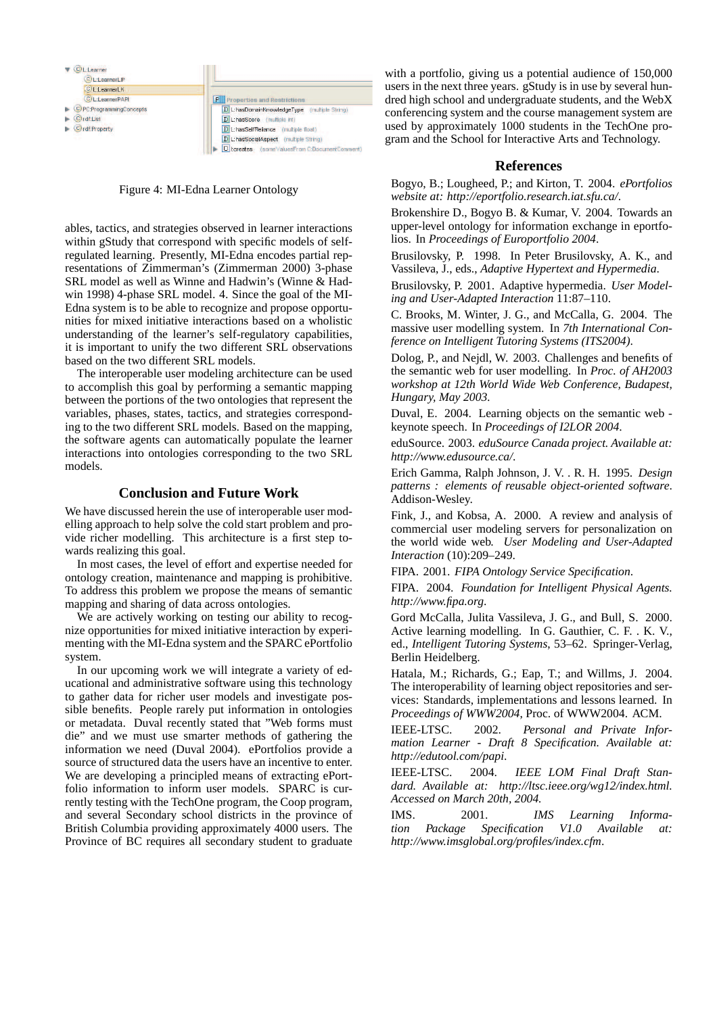

Figure 4: MI-Edna Learner Ontology

ables, tactics, and strategies observed in learner interactions within gStudy that correspond with specific models of selfregulated learning. Presently, MI-Edna encodes partial representations of Zimmerman's (Zimmerman 2000) 3-phase SRL model as well as Winne and Hadwin's (Winne & Hadwin 1998) 4-phase SRL model. 4. Since the goal of the MI-Edna system is to be able to recognize and propose opportunities for mixed initiative interactions based on a wholistic understanding of the learner's self-regulatory capabilities, it is important to unify the two different SRL observations based on the two different SRL models.

The interoperable user modeling architecture can be used to accomplish this goal by performing a semantic mapping between the portions of the two ontologies that represent the variables, phases, states, tactics, and strategies corresponding to the two different SRL models. Based on the mapping, the software agents can automatically populate the learner interactions into ontologies corresponding to the two SRL models.

# **Conclusion and Future Work**

We have discussed herein the use of interoperable user modelling approach to help solve the cold start problem and provide richer modelling. This architecture is a first step towards realizing this goal.

In most cases, the level of effort and expertise needed for ontology creation, maintenance and mapping is prohibitive. To address this problem we propose the means of semantic mapping and sharing of data across ontologies.

We are actively working on testing our ability to recognize opportunities for mixed initiative interaction by experimenting with the MI-Edna system and the SPARC ePortfolio system.

In our upcoming work we will integrate a variety of educational and administrative software using this technology to gather data for richer user models and investigate possible benefits. People rarely put information in ontologies or metadata. Duval recently stated that "Web forms must die" and we must use smarter methods of gathering the information we need (Duval 2004). ePortfolios provide a source of structured data the users have an incentive to enter. We are developing a principled means of extracting ePortfolio information to inform user models. SPARC is currently testing with the TechOne program, the Coop program, and several Secondary school districts in the province of British Columbia providing approximately 4000 users. The Province of BC requires all secondary student to graduate with a portfolio, giving us a potential audience of 150,000 users in the next three years. gStudy is in use by several hundred high school and undergraduate students, and the WebX conferencing system and the course management system are used by approximately 1000 students in the TechOne program and the School for Interactive Arts and Technology.

### **References**

Bogyo, B.; Lougheed, P.; and Kirton, T. 2004. *ePortfolios website at: http://eportfolio.research.iat.sfu.ca/*.

Brokenshire D., Bogyo B. & Kumar, V. 2004. Towards an upper-level ontology for information exchange in eportfolios. In *Proceedings of Europortfolio 2004*.

Brusilovsky, P. 1998. In Peter Brusilovsky, A. K., and Vassileva, J., eds., *Adaptive Hypertext and Hypermedia*.

Brusilovsky, P. 2001. Adaptive hypermedia. *User Modeling and User-Adapted Interaction* 11:87–110.

C. Brooks, M. Winter, J. G., and McCalla, G. 2004. The massive user modelling system. In *7th International Conference on Intelligent Tutoring Systems (ITS2004)*.

Dolog, P., and Nejdl, W. 2003. Challenges and benefits of the semantic web for user modelling. In *Proc. of AH2003 workshop at 12th World Wide Web Conference, Budapest, Hungary, May 2003.*

Duval, E. 2004. Learning objects on the semantic web keynote speech. In *Proceedings of I2LOR 2004*.

eduSource. 2003. *eduSource Canada project. Available at: http://www.edusource.ca/*.

Erich Gamma, Ralph Johnson, J. V. . R. H. 1995. *Design patterns : elements of reusable object-oriented software*. Addison-Wesley.

Fink, J., and Kobsa, A. 2000. A review and analysis of commercial user modeling servers for personalization on the world wide web. *User Modeling and User-Adapted Interaction* (10):209–249.

FIPA. 2001. *FIPA Ontology Service Specification*.

FIPA. 2004. *Foundation for Intelligent Physical Agents. http://www.fipa.org*.

Gord McCalla, Julita Vassileva, J. G., and Bull, S. 2000. Active learning modelling. In G. Gauthier, C. F. . K. V., ed., *Intelligent Tutoring Systems*, 53–62. Springer-Verlag, Berlin Heidelberg.

Hatala, M.; Richards, G.; Eap, T.; and Willms, J. 2004. The interoperability of learning object repositories and services: Standards, implementations and lessons learned. In *Proceedings of WWW2004*, Proc. of WWW2004. ACM.

IEEE-LTSC. 2002. *Personal and Private Information Learner - Draft 8 Specification. Available at: http://edutool.com/papi*.

IEEE-LTSC. 2004. *IEEE LOM Final Draft Standard. Available at: http://ltsc.ieee.org/wg12/index.html. Accessed on March 20th, 2004.*

IMS. 2001. *IMS Learning Information Package Specification V1.0 Available at: http://www.imsglobal.org/profiles/index.cfm*.